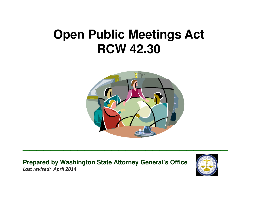# **Open Public Meetings ActRCW 42.30**



**\_\_\_\_\_\_\_\_\_\_\_\_\_\_\_\_\_\_\_\_\_\_\_\_\_\_\_\_\_\_**

**Prepared by Washington State Attorney General's Office**Last revised: April 2014

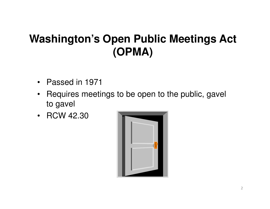# **Washington's Open Public Meetings Act (OPMA)**

- $\bullet$ Passed in 1971
- $\bullet$  Requires meetings to be open to the public, gavel to gavel
- •RCW 42.30

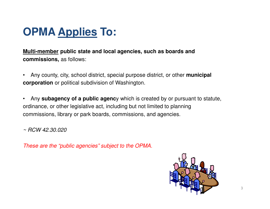## **OPMA Applies To:**

**Multi-member public state and local agencies, such as boards and commissions,** as follows:

- $\bullet$  Any county, city, school district, special purpose district, or other **municipal corporation** or political subdivision of Washington.
- $\bullet$  Any **subagency of a public agenc**y which is created by or pursuant to statute, ordinance, or other legislative act, including but not limited to planning commissions, library or park boards, commissions, and agencies.

 $~\sim$  RCW 42.30.020

These are the "public agencies" subject to the OPMA.

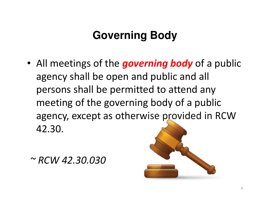# **Governing Body**

• All meetings of the *governing body* of a public agency shall be open and public and all persons shall be permitted to attend any meeting of the governing body of a public agency, except as otherwise provided in RCW 42.30.

~ RCW 42.30.030

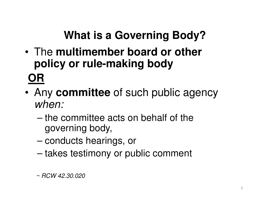# **What is a Governing Body?**

- • The **multimember board or other policy or rule-making bodyOR**
- • Any **committee** of such public agency when:
	- – the committee acts on behalf of the governing body,
	- –conducts hearings, or
	- –takes testimony or public comment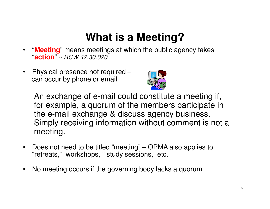# **What is a Meeting?**

- "**Meeting**" means meetings at which the public agency takes  $\bullet$ "**action**" ~ RCW 42.30.020
- $\bullet$  Physical presence not required –can occur by phone or email



An exchange of e-mail could constitute a meeting if, for example, a quorum of the members participate in the e-mail exchange & discuss agency business. Simply receiving information without comment is not a meeting.

- $\bullet$  Does not need to be titled "meeting" – OPMA also applies to "retreats," "workshops," "study sessions," etc.
- $\bullet$ No meeting occurs if the governing body lacks a quorum.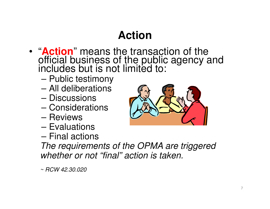# **Action**

- "**Action**" means the transaction of the official business of the public agency and includes but is not limited to:
	- and the state of the Public testimony
	- ΔII dalıharatınno All deliberations
	- **Discussions**
	- Concidarat **Considerations**
	- **Reviews**
	- $\mathsf{H}$ valuat **Evaluations**
	- Final actiol Final actions



 The requirements of the OPMA are triggered whether or not "final" action is taken.

~ RCW 42.30.020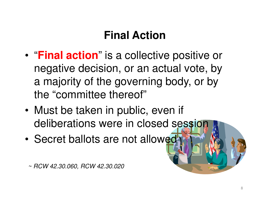# **Final Action**

- • "**Final action**" is a collective positive or negative decision, or an actual vote, by a majority of the governing body, or by the "committee thereof"
- • Must be taken in public, even if deliberations were in closed session
- •Secret ballots are not allowed

~ RCW 42.30.060, RCW 42.30.020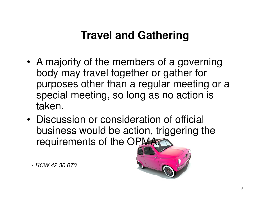### **Travel and Gathering**

- A majority of the members of a governing body may travel together or gather for purposes other than a regular meeting or a special meeting, so long as no action is taken.
- Discussion or consideration of official business would be action, triggering the requirements of the OPMA

~ RCW 42.30.070

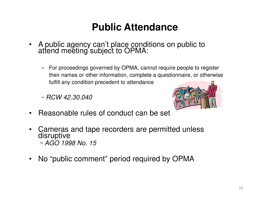#### **Public Attendance**

- • A public agency can't place conditions on public to attend meeting subject to OPMA:
	- For proceedings governed by OPMA, cannot require people to register their names or other information, complete a questionnaire, or otherwise fulfill any condition precedent to attendance

 $\sim$  RCW 42,30,040



- •Reasonable rules of conduct can be set
- • Cameras and tape recorders are permitted unless disruptive~ AGO 1998 No. 15
- •No "public comment" period required by OPMA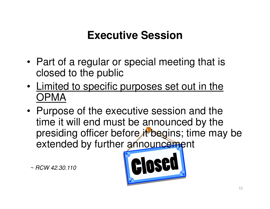### **Executive Session**

- Part of a regular or special meeting that is closed to the public
- Limited to specific purposes set out in the OPMA
- Purpose of the executive session and the time it will end must be announced by the presiding officer before it begins; time may be extended by further announcement

 $~\sim$  RCW 42.30.110

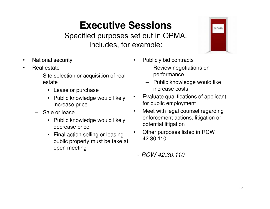#### **Executive Sessions**

Specified purposes set out in OPMA. Includes, for example:

•

- $\bullet$ National security
- • Real estate
	- Site selection or acquisition of real estate
		- Lease or purchase
		- Public knowledge would likely increase price
	- Sale or lease
		- Public knowledge would likely decrease price
		- Final action selling or leasing public property must be take at open meeting
- $\bullet$  Publicly bid contracts
	- – Review negotiations on performance
	- Public knowledge would like increase costs

CLOSED

- Evaluate qualifications of applicant for public employment
- • Meet with legal counsel regarding enforcement actions, litigation or potential litigation
- Other purposes listed in RCW •42.30.110
- $~\sim$  RCW 42.30.110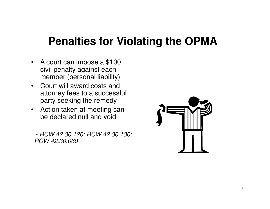#### **Penalties for Violating the OPMA**

- A court can impose a \$100 civil penalty against each member (personal liability)
- Court will award costs and attorney fees to a successful party seeking the remedy
- Action taken at meeting can be declared null and void

~ RCW 42.30.120; RCW 42.30.130; RCW 42.30.060

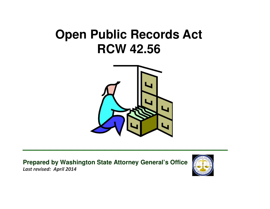# **Open Public Records ActRCW 42.56**



**\_\_\_\_\_\_\_\_\_\_\_\_\_\_\_\_\_\_\_\_\_\_\_\_\_\_\_\_\_\_**

**Prepared by Washington State Attorney General's Office**Last revised: April 2014

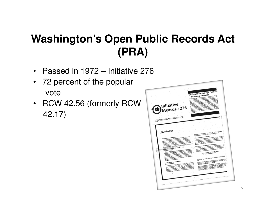# **Washington's Open Public Records Act (PRA)**

- $\bullet$ Passed in 1972 – Initiative 276
- • 72 percent of the popular vote
- RCW 42.56 (formerly RCW 42.17)

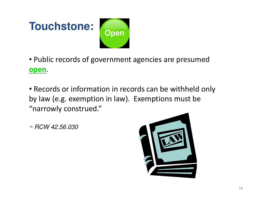

• Public records of government agencies are presumed open.

• Records or information in records can be withheld only by law (e.g. exemption in law). Exemptions must be"narrowly construed."

 $~\sim$  RCW 42.56.030

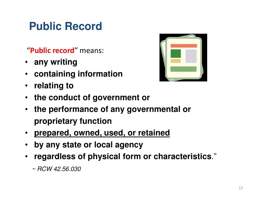# **Public Record**

#### "Public record" means:

- **any writing**
- **containing information**
- **relating to**



- **the conduct of government or**
- **the performance of any governmental or proprietary function**
- **prepared, owned, used, or retained**
- •**by any state or local agency**
- **regardless of physical form or characteristics**."
	- $~\sim$  RCW 42.56.030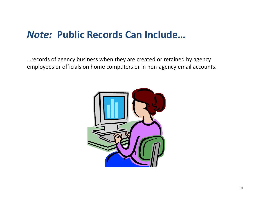#### Note: Public Records Can Include…

…records of agency business when they are created or retained by agency employees or officials on home computers or in non-agency email accounts.

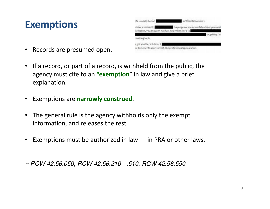#### Exemptions

| ofessionally Redact                                                        | In Word Documents                           |
|----------------------------------------------------------------------------|---------------------------------------------|
| rou've ever had to<br>ormation, you know it's not fun. You either need to: | to purge corporate confidential or personal |
|                                                                            | or extting fan                              |
| mutting tools.                                                             |                                             |
| e got a better solution: A                                                 |                                             |
| ur documents a sort-of-CIA-like professional appearance.                   |                                             |

- $\bullet$ Records are presumed open.
- If a record, or part of a record, is withheld from the public, the agency must cite to an "exemption" in law and give a brief explanation.
- Exemptions are narrowly construed.
- The general rule is the agency withholds only the exempt information, and releases the rest.
- Exemptions must be authorized in law --- in PRA or other laws.

~ RCW 42.56.050, RCW 42.56.210 - .510, RCW 42.56.550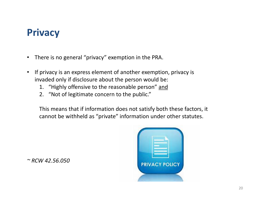#### **Privacy**

- $\bullet$ There is no general "privacy" exemption in the PRA.
- • If privacy is an express element of another exemption, privacy is invaded only if disclosure about the person would be:
	- 1. "Highly offensive to the reasonable person" and
	- 2. "Not of legitimate concern to the public."

This means that if information does not satisfy both these factors, it cannot be withheld as "private" information under other statutes.



 $~^{\sim}$  RCW 42.56.050